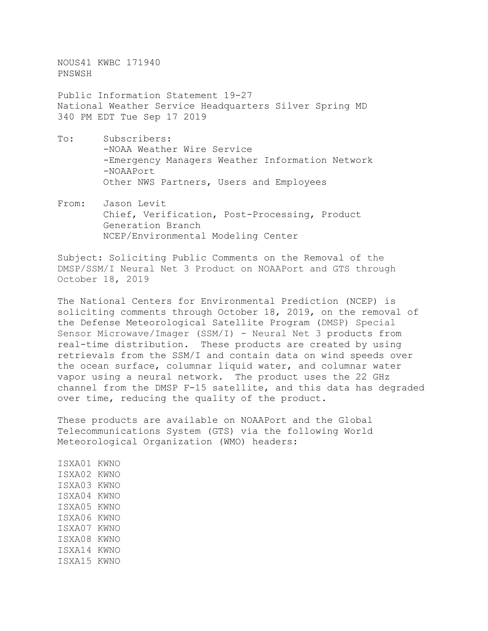NOUS41 KWBC 171940 PNSWSH

Public Information Statement 19-27 National Weather Service Headquarters Silver Spring MD 340 PM EDT Tue Sep 17 2019

- To: Subscribers: -NOAA Weather Wire Service -Emergency Managers Weather Information Network -NOAAPort Other NWS Partners, Users and Employees
- From: Jason Levit Chief, Verification, Post-Processing, Product Generation Branch NCEP/Environmental Modeling Center

Subject: Soliciting Public Comments on the Removal of the DMSP/SSM/I Neural Net 3 Product on NOAAPort and GTS through October 18, 2019

The National Centers for Environmental Prediction (NCEP) is soliciting comments through October 18, 2019, on the removal of the Defense Meteorological Satellite Program (DMSP) Special Sensor Microwave/Imager (SSM/I) - Neural Net 3 products from real-time distribution. These products are created by using retrievals from the SSM/I and contain data on wind speeds over the ocean surface, columnar liquid water, and columnar water vapor using a neural network. The product uses the 22 GHz channel from the DMSP F-15 satellite, and this data has degraded over time, reducing the quality of the product.

These products are available on NOAAPort and the Global Telecommunications System (GTS) via the following World Meteorological Organization (WMO) headers:

ISXA01 KWNO ISXA02 KWNO ISXA03 KWNO ISXA04 KWNO ISXA05 KWNO ISXA06 KWNO ISXA07 KWNO ISXA08 KWNO ISXA14 KWNO ISXA15 KWNO